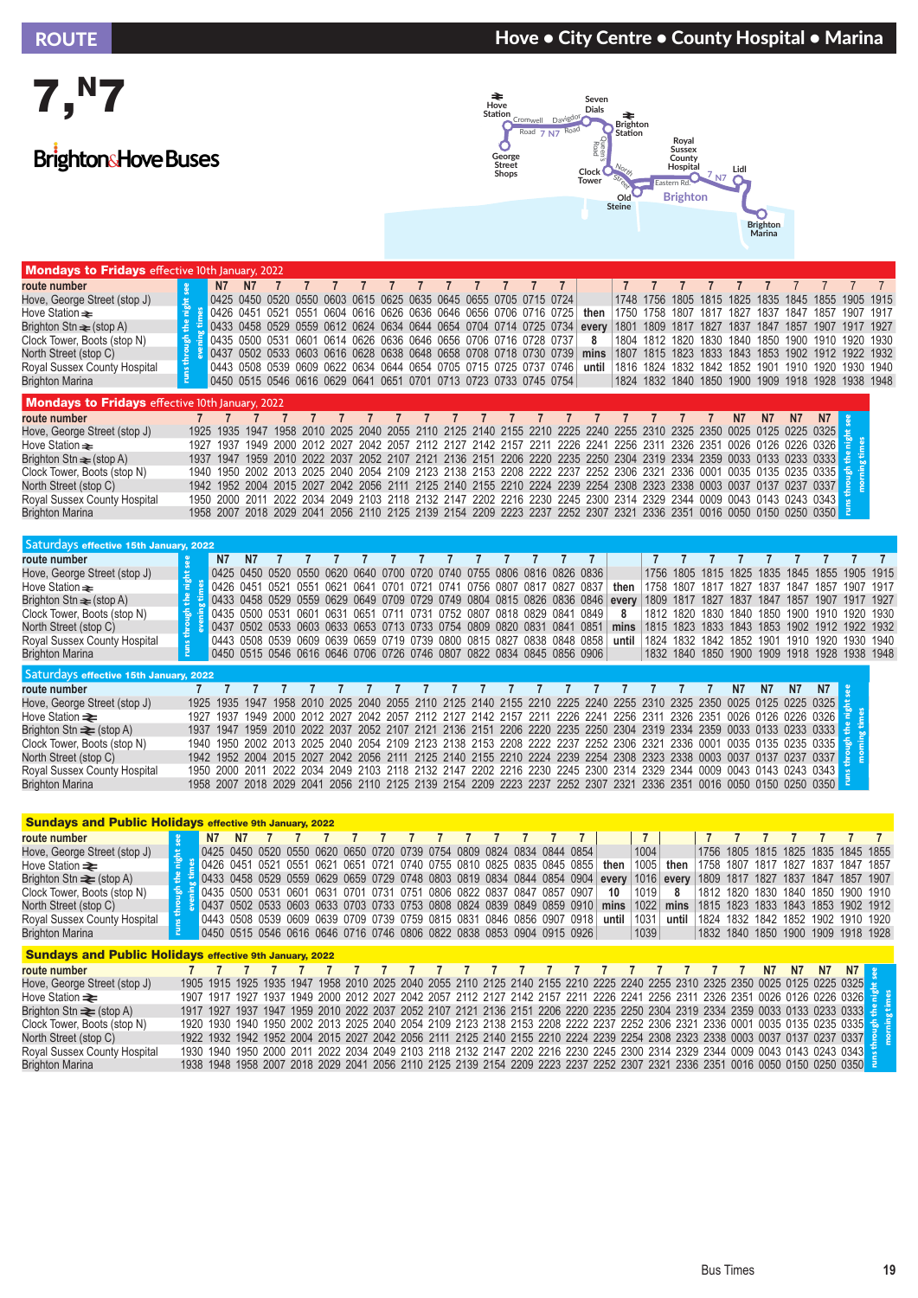## ROUTE NOUTE → ROUTE + Marina + Marina + Marina + Marina + Marina + Marina + Marina + Marina + Marina + Marina





| <b>Mondays to Fridays</b> effective 10th January, 2022 |         |                                                                  |           |                                                                  |           |                |      |  |  |  |                                                                                                                    |                |           |           |                          |                     |      |      |      |                                                   |  |
|--------------------------------------------------------|---------|------------------------------------------------------------------|-----------|------------------------------------------------------------------|-----------|----------------|------|--|--|--|--------------------------------------------------------------------------------------------------------------------|----------------|-----------|-----------|--------------------------|---------------------|------|------|------|---------------------------------------------------|--|
| route number                                           |         | N7                                                               | N7        |                                                                  |           |                |      |  |  |  |                                                                                                                    |                |           |           |                          |                     |      |      |      |                                                   |  |
| Hove, George Street (stop J)                           | night   |                                                                  |           | 0425 0450 0520 0550 0603 0615 0625 0635 0645 0655 0705 0715 0724 |           |                |      |  |  |  |                                                                                                                    |                | 1748 1756 |           | 1805 1815 1825           |                     | 1835 |      |      | 1845 1855 1905 1915                               |  |
| Hove Station <del>≥</del>                              |         |                                                                  |           | 0426 0451 0521 0551 0604 0616 0626 0636 0646 0656 0706 0716 0725 |           |                |      |  |  |  | then                                                                                                               |                | 1750 1758 | 1807      | 1817                     | 1827                | 1837 | 1847 | 1857 | 1907 1917                                         |  |
| Brighton Stn $\equiv$ (stop A)                         | ١å,     |                                                                  |           |                                                                  |           |                |      |  |  |  | 0433 0458 0529 0559 0612 0624 0634 0644 0654 0704 0714 0725 0734 every 1801                                        |                | 1809      | 1817      | 1827 1837                |                     | 1847 | 1857 | 1907 | 1917 1927                                         |  |
| Clock Tower, Boots (stop N)                            |         |                                                                  |           | 0435 0500 0531 0601 0614 0626 0636 0646 0656 0706 0716 0728 0737 |           |                |      |  |  |  | 8                                                                                                                  | 1804           |           |           | 1812 1820 1830           | 1840                | 1850 |      |      | 1900 1910 1920 1930                               |  |
| North Street (stop C)                                  | through | 0437 0502 0533 0603 0616 0628 0638 0648 0658 0708 0718 0730 0739 |           |                                                                  |           |                |      |  |  |  | mins                                                                                                               | 1807           |           |           |                          |                     |      |      |      | 1815 1823 1833 1843 1853 1902 1912 1922 1932      |  |
| Royal Sussex County Hospital                           |         |                                                                  |           | 0443 0508 0539 0609 0622 0634 0644 0654 0705 0715 0725 0737 0746 |           |                |      |  |  |  | until                                                                                                              |                |           |           | 1816 1824 1832 1842 1852 |                     | 1901 | 1910 |      | 1920 1930 1940                                    |  |
| <b>Brighton Marina</b>                                 | runs    | 0450 0515 0546 0616 0629 0641 0651 0701 0713 0723 0733 0745 0754 |           |                                                                  |           |                |      |  |  |  |                                                                                                                    |                |           |           |                          |                     |      |      |      | 1824 1832 1840 1850 1900 1909 1918 1928 1938 1948 |  |
| <b>Mondays to Fridays</b> effective 10th January, 2022 |         |                                                                  |           |                                                                  |           |                |      |  |  |  |                                                                                                                    |                |           |           |                          |                     |      |      |      |                                                   |  |
| route number                                           |         |                                                                  |           |                                                                  |           |                |      |  |  |  |                                                                                                                    |                |           |           |                          | N7                  | N7   | N7   |      |                                                   |  |
| Hove, George Street (stop J)                           | 1925    | 1935                                                             | 1947      | 1958                                                             | -2010     | 2025           | 2040 |  |  |  | 2055 2110 2125 2140 2155 2210 2225 2240 2255 2310 2325 2350                                                        |                |           |           |                          | 0025 0125 0225 0325 |      |      |      |                                                   |  |
| Hove Station <del>≥</del>                              |         | 1937                                                             | 1949      |                                                                  |           | 2000 2012 2027 |      |  |  |  | 2042 2057 2112 2127 2142 2157 2211 2226 2241                                                                       | 2256 2311      |           | 2326 2351 |                          | 0026 0126 0226 0326 |      |      |      |                                                   |  |
| Brighton $\text{Stn} \equiv (\text{stop A})$           |         | 1947                                                             | 1959      |                                                                  |           | 2010 2022 2037 |      |  |  |  | 2052 2107 2121 2136 2151 2206 2220 2235 2250                                                                       | 2304 2319 2334 |           |           | 2359                     | 0033 0133 0233 0333 |      |      |      |                                                   |  |
| Clock Tower, Boots (stop N)                            | 1940    | 1950                                                             |           | 2002 2013 2025                                                   |           |                |      |  |  |  | 2040 2054 2109 2123 2138 2153 2208 2222 2237 2252 2306 2321 2336 0001                                              |                |           |           |                          | 0035 0135 0235 0335 |      |      |      |                                                   |  |
| North Street (stop C)                                  |         | 1942 1952 2004                                                   |           |                                                                  | 2015 2027 |                |      |  |  |  | 2042 2056 2111 2125 2140 2155 2210 2224 2239 2254 2308 2323 2338 0003 0037 0137 0237 0337                          |                |           |           |                          |                     |      |      |      |                                                   |  |
| Royal Sussex County Hospital                           | 1950    |                                                                  | 2000 2011 |                                                                  | 2022 2034 |                |      |  |  |  | 2049 2103 2118 2132 2147 2202 2216 2230 2245 2300 2314 2329 2344 0009 0043 0143 0243 0343                          |                |           |           |                          |                     |      |      |      |                                                   |  |
| <b>Rrighton Marina</b>                                 |         |                                                                  |           |                                                                  |           |                |      |  |  |  | 1958 2007 2018 2029 2041 2056 2110 2125 2139 2154 2209 2223 2237 2252 2307 2321 2336 2351 0016 0050 0150 0250 0350 |                |           |           |                          |                     |      |      |      |                                                   |  |

North Street (stop C) 1942 1952 2004 2015 2027 2042 2056 2111 2125 2140 2155 2210 2224 2239 2254 2308 2323 2338 0003 0037 0137 0237 0337 Royal Sussex County Hospital 1950 2000 2011 2022 2034 2049 2103 2118 2132 2147 2202 2216 2230 2245 2300 2314 2329 2344 0009 0043 0143 0243 0343 Brighton Marina 1958 2007 2018 2029 2041 2056 2110 2125 2139 2154 2209 2223 2237 2252 2307 2321 2336 2351 0016 0050 0150 0250 0350

| Saturdays effective 15th January, 2022 |                                            |                                                                         |                                                |                                                                                                      |                                        |                                |                                           |              |                           |      |                                                                        |                                                                   |                           |                                                  |                                                                                                                         |                                                              |                                                                                                                                                                                                        |                                                                                                                                                                                                   |                                                                                                                      |                      |           |                          |                                                                                                                                                                                                                                                        |                                                                                 |
|----------------------------------------|--------------------------------------------|-------------------------------------------------------------------------|------------------------------------------------|------------------------------------------------------------------------------------------------------|----------------------------------------|--------------------------------|-------------------------------------------|--------------|---------------------------|------|------------------------------------------------------------------------|-------------------------------------------------------------------|---------------------------|--------------------------------------------------|-------------------------------------------------------------------------------------------------------------------------|--------------------------------------------------------------|--------------------------------------------------------------------------------------------------------------------------------------------------------------------------------------------------------|---------------------------------------------------------------------------------------------------------------------------------------------------------------------------------------------------|----------------------------------------------------------------------------------------------------------------------|----------------------|-----------|--------------------------|--------------------------------------------------------------------------------------------------------------------------------------------------------------------------------------------------------------------------------------------------------|---------------------------------------------------------------------------------|
|                                        |                                            |                                                                         |                                                |                                                                                                      |                                        |                                |                                           |              |                           |      |                                                                        |                                                                   |                           |                                                  |                                                                                                                         |                                                              |                                                                                                                                                                                                        |                                                                                                                                                                                                   |                                                                                                                      |                      |           |                          |                                                                                                                                                                                                                                                        |                                                                                 |
|                                        | N7                                         | N7                                                                      |                                                |                                                                                                      |                                        |                                |                                           |              |                           |      |                                                                        |                                                                   |                           |                                                  |                                                                                                                         |                                                              |                                                                                                                                                                                                        |                                                                                                                                                                                                   |                                                                                                                      |                      |           |                          |                                                                                                                                                                                                                                                        |                                                                                 |
|                                        | 0425                                       |                                                                         |                                                |                                                                                                      |                                        |                                |                                           |              |                           |      |                                                                        |                                                                   |                           |                                                  |                                                                                                                         |                                                              | 1805                                                                                                                                                                                                   | 1815                                                                                                                                                                                              | 1825                                                                                                                 | 1835                 | 1845      |                          | 1905                                                                                                                                                                                                                                                   | -1915                                                                           |
|                                        |                                            |                                                                         |                                                |                                                                                                      |                                        |                                |                                           |              |                           |      |                                                                        |                                                                   |                           |                                                  | then                                                                                                                    | 1758                                                         | 1807                                                                                                                                                                                                   | 1817                                                                                                                                                                                              | 1827                                                                                                                 | 1837                 | 1847      | 1857                     | 1907                                                                                                                                                                                                                                                   | 1917                                                                            |
|                                        |                                            |                                                                         |                                                |                                                                                                      |                                        |                                |                                           |              |                           |      |                                                                        |                                                                   |                           |                                                  |                                                                                                                         |                                                              | 1817                                                                                                                                                                                                   |                                                                                                                                                                                                   | 1837                                                                                                                 | 1847                 | 1857      |                          | 1917                                                                                                                                                                                                                                                   | 1927                                                                            |
|                                        |                                            |                                                                         |                                                |                                                                                                      |                                        |                                |                                           |              |                           |      |                                                                        |                                                                   |                           |                                                  | 8                                                                                                                       |                                                              | 1820                                                                                                                                                                                                   | 1830                                                                                                                                                                                              | 1840                                                                                                                 | 1850                 | 1900      |                          |                                                                                                                                                                                                                                                        | -1930                                                                           |
|                                        |                                            |                                                                         |                                                |                                                                                                      |                                        |                                |                                           |              |                           |      |                                                                        |                                                                   |                           |                                                  | mins                                                                                                                    |                                                              | 1823                                                                                                                                                                                                   |                                                                                                                                                                                                   |                                                                                                                      | 1853                 | 1902      |                          |                                                                                                                                                                                                                                                        |                                                                                 |
|                                        | 0443                                       |                                                                         |                                                |                                                                                                      |                                        |                                |                                           |              |                           |      |                                                                        |                                                                   |                           |                                                  | until                                                                                                                   | 1824                                                         | 1832                                                                                                                                                                                                   | 1842                                                                                                                                                                                              | 1852                                                                                                                 | 1901                 | 1910      |                          | 1930                                                                                                                                                                                                                                                   | -1940                                                                           |
|                                        |                                            |                                                                         |                                                |                                                                                                      |                                        |                                |                                           |              |                           |      |                                                                        |                                                                   |                           |                                                  |                                                                                                                         |                                                              |                                                                                                                                                                                                        |                                                                                                                                                                                                   |                                                                                                                      |                      |           |                          |                                                                                                                                                                                                                                                        |                                                                                 |
|                                        |                                            |                                                                         |                                                |                                                                                                      |                                        |                                |                                           |              |                           |      |                                                                        |                                                                   |                           |                                                  |                                                                                                                         |                                                              |                                                                                                                                                                                                        |                                                                                                                                                                                                   |                                                                                                                      |                      |           |                          |                                                                                                                                                                                                                                                        |                                                                                 |
|                                        |                                            |                                                                         |                                                |                                                                                                      |                                        |                                |                                           |              |                           |      |                                                                        |                                                                   |                           |                                                  |                                                                                                                         |                                                              |                                                                                                                                                                                                        |                                                                                                                                                                                                   | N7                                                                                                                   | N7                   | <b>N7</b> | N <sub>7</sub>           |                                                                                                                                                                                                                                                        |                                                                                 |
|                                        |                                            | 1947                                                                    |                                                |                                                                                                      |                                        |                                |                                           |              |                           |      |                                                                        |                                                                   |                           |                                                  |                                                                                                                         |                                                              |                                                                                                                                                                                                        |                                                                                                                                                                                                   |                                                                                                                      |                      |           |                          |                                                                                                                                                                                                                                                        |                                                                                 |
|                                        | 1937                                       |                                                                         |                                                |                                                                                                      |                                        |                                |                                           |              |                           |      |                                                                        |                                                                   |                           |                                                  |                                                                                                                         |                                                              |                                                                                                                                                                                                        |                                                                                                                                                                                                   |                                                                                                                      |                      |           |                          |                                                                                                                                                                                                                                                        |                                                                                 |
|                                        |                                            |                                                                         |                                                |                                                                                                      |                                        |                                |                                           |              |                           |      |                                                                        |                                                                   |                           |                                                  |                                                                                                                         |                                                              |                                                                                                                                                                                                        |                                                                                                                                                                                                   |                                                                                                                      |                      |           |                          |                                                                                                                                                                                                                                                        |                                                                                 |
|                                        |                                            |                                                                         |                                                |                                                                                                      |                                        |                                |                                           |              |                           |      |                                                                        |                                                                   |                           |                                                  |                                                                                                                         |                                                              |                                                                                                                                                                                                        |                                                                                                                                                                                                   |                                                                                                                      |                      |           |                          |                                                                                                                                                                                                                                                        |                                                                                 |
|                                        |                                            |                                                                         |                                                |                                                                                                      |                                        |                                |                                           |              |                           |      |                                                                        |                                                                   |                           |                                                  |                                                                                                                         |                                                              |                                                                                                                                                                                                        |                                                                                                                                                                                                   |                                                                                                                      |                      |           |                          |                                                                                                                                                                                                                                                        |                                                                                 |
|                                        |                                            |                                                                         |                                                |                                                                                                      |                                        |                                |                                           |              |                           |      |                                                                        |                                                                   |                           |                                                  |                                                                                                                         |                                                              |                                                                                                                                                                                                        |                                                                                                                                                                                                   |                                                                                                                      |                      |           |                          |                                                                                                                                                                                                                                                        |                                                                                 |
|                                        |                                            |                                                                         |                                                |                                                                                                      |                                        |                                |                                           |              |                           |      |                                                                        |                                                                   |                           |                                                  |                                                                                                                         |                                                              |                                                                                                                                                                                                        |                                                                                                                                                                                                   |                                                                                                                      |                      |           |                          |                                                                                                                                                                                                                                                        |                                                                                 |
|                                        | night<br>로<br>through<br>runs <sup>1</sup> | Saturdays effective 15th January, 2022<br>1925<br>1927<br>1937<br>1950- | 0450<br>0426 0451<br>1935<br>1947<br>1940 1950 | 0520<br>0521<br>0433 0458 0529<br>0435 0500 0531<br>1949<br>1959<br>1942 1952 2004<br>1958 2007 2018 | 0550<br>(1551)<br>0601<br>1958<br>2000 | (1620)<br>0621<br>0631<br>2034 | 0640<br>0641<br>0651<br>2010 2025<br>2049 | 0700<br>በ7በ1 | 0720<br>0721<br>0711 0731 | 0741 | 0740 0755<br>0756<br>0437 0502 0533 0603 0633 0653 0713 0733 0754 0809 | 0806<br>በጸበ7<br>0508 0539 0609 0639 0659 0719 0739 0800 0815 0827 | 0817<br>0820 0831<br>0838 | 0816<br>0827<br>0752 0807 0818 0829 0841<br>0841 | 0826 0836<br>0837<br>0849<br>0851<br>0848 0858<br>0450 0515 0546 0616 0646 0706 0726 0746 0807 0822 0834 0845 0856 0906 | 0559 0629 0649 0709 0729 0749 0804 0815 0826 0836 0846 every | 1756.<br>1812.<br>2040 2055 2110 2125 2140 2155 2210 2225 2240 2255 2310<br>2012 2027 2042 2057 2112 2127 2142 2157 2211 2226 2241 2256 2311<br>2103 2118 2132 2147 2202 2216 2230 2245 2300 2314 2329 | 1809<br>1815<br>-2325<br>2326<br>2010 2022 2037 2052 2107 2121 2136 2151 2206 2220 2235 2250 2304 2319 2334<br>2344<br>2029 2041 2056 2110 2125 2139 2154 2209 2223 2237 2252 2307 2321 2336 2351 | 1827<br>2350<br>2351<br>2002 2013 2025 2040 2054 2109 2123 2138 2153 2208 2222 2237 2252 2306 2321 2336 0001<br>0009 | 1843<br>1833<br>0025 |           | 1832 1840 1850 1900 1909 | 1855<br>1907<br>1910<br>1920<br>0125 0225 0325<br>0026 0126 0226 0326<br>2359 0033 0133 0233 0333<br>0035 0135 0235 0335<br>2015 2027 2042 2056 2111 2125 2140 2155 2210 2224 2239 2254 2308 2323 2338 0003 0037 0137 0237 0337<br>0043 0143 0243 0343 | 1920<br>1922 1932<br>1912<br>1918 1928<br>1938 1948<br>0016 0050 0150 0250 0350 |

| <b>Sundays and Public Holidays effective 9th January, 2022</b> |    |                                                                                       |    |  |  |  |  |  |  |                                                                                           |      |                                                 |  |    |                 |                                    |  |
|----------------------------------------------------------------|----|---------------------------------------------------------------------------------------|----|--|--|--|--|--|--|-------------------------------------------------------------------------------------------|------|-------------------------------------------------|--|----|-----------------|------------------------------------|--|
| route number                                                   |    | <b>N7</b>                                                                             | N7 |  |  |  |  |  |  |                                                                                           |      |                                                 |  |    |                 |                                    |  |
| Hove, George Street (stop J)                                   |    | 0425 0450 0520 0550 0620 0650 0720 0739 0754 0809 0824 0834 0844 0854                 |    |  |  |  |  |  |  |                                                                                           | 1004 |                                                 |  |    |                 | 1756 1805 1815 1825 1835 1845 1855 |  |
| Hove Station <del>≥</del>                                      |    | <u>2</u> 0426 0451 0521 0551 0621 0651 0721 0740 0755 0810 0825 0835 0845 0855        |    |  |  |  |  |  |  | then                                                                                      | 1005 | then I                                          |  |    |                 | 1758 1807 1817 1827 1837 1847 1857 |  |
| Brighton $\text{Stn} \equiv (\text{stop A})$                   |    |                                                                                       |    |  |  |  |  |  |  | $\frac{2}{5}$ 0433 0458 0529 0559 0629 0659 0729 0748 0803 0819 0834 0844 0854 0904 every |      | 1016 every   1809 1817 1827 1837 1847 1857 1907 |  |    |                 |                                    |  |
| Clock Tower, Boots (stop N)                                    |    | $\frac{1}{2}$ = 0435 0500 0531 0601 0631 0701 0731 0751 0806 0822 0837 0847 0857 0907 |    |  |  |  |  |  |  | 10                                                                                        | 1019 | 8                                               |  |    |                 | 1812 1820 1830 1840 1850 1900 1910 |  |
| North Street (stop C)                                          |    | <b>8</b> 3 0437 0502 0533 0603 0633 0703 0733 0753 0808 0824 0839 0849 0859 0910      |    |  |  |  |  |  |  | mins                                                                                      | 1022 | mins 1815 1823 1833 1843 1853 1902 1912         |  |    |                 |                                    |  |
| Royal Sussex County Hospital                                   | ്ച | 0443 0508 0539 0609 0639 0709 0739 0759 0815 0831 0846 0856 0907 0918                 |    |  |  |  |  |  |  | until                                                                                     | 1031 | until l                                         |  |    |                 | 1824 1832 1842 1852 1902 1910 1920 |  |
| <b>Brighton Marina</b>                                         |    | 0450 0515 0546 0616 0646 0716 0746 0806 0822 0838 0853 0904 0915 0926                 |    |  |  |  |  |  |  |                                                                                           | 1039 |                                                 |  |    |                 | 1832 1840 1850 1900 1909 1918 1928 |  |
| <b>Sundays and Public Holidays effective 9th January, 2022</b> |    |                                                                                       |    |  |  |  |  |  |  |                                                                                           |      |                                                 |  |    |                 |                                    |  |
| route number                                                   |    |                                                                                       |    |  |  |  |  |  |  |                                                                                           |      |                                                 |  | N7 | N <sub>17</sub> | N7                                 |  |

| route number                   |  |  |  |  |  |  |  |  |  |  |  |  |                                                                                                                                               |  |
|--------------------------------|--|--|--|--|--|--|--|--|--|--|--|--|-----------------------------------------------------------------------------------------------------------------------------------------------|--|
| Hove, George Street (stop J)   |  |  |  |  |  |  |  |  |  |  |  |  | 1905 1915 1925 1935 1947 1958 2010 2025 2040 2055 2110 2125 2140 2155 2210 2225 2240 2255 2310 2325 2350 0025 0125 0225 0325 23               |  |
| Hove Station <del>≥</del>      |  |  |  |  |  |  |  |  |  |  |  |  | 1907 1917 1927 1937 1949 2000 2012 2027 2042 2057 2112 2127 2142 2157 2211 2226 2241 2256 2311 2326 2351 0026 0126 0226 0326 $\frac{19}{6}$   |  |
| Brighton Stn $\equiv$ (stop A) |  |  |  |  |  |  |  |  |  |  |  |  | 1917 1927 1937 1947 1959 2010 2022 2037 2052 2107 2121 2136 2151 2206 2220 2235 2250 2304 2319 2334 2359 0033 0133 0233 0333 - 5              |  |
| Clock Tower, Boots (stop N)    |  |  |  |  |  |  |  |  |  |  |  |  | 1920 1930 1940 1950 2002 2013 2025 2040 2054 2109 2123 2138 2153 2208 2222 2237 2252 2306 2321 2336 0001 0035 0135 0235 0335 <del>5</del>     |  |
| North Street (stop C)          |  |  |  |  |  |  |  |  |  |  |  |  | 1922 1932 1942 1952 2004 2015 2027 2042 2056 2111 2125 2140 2155 2210 2224 2239 2254 2308 2323 2338 0003 0037 0137 0237 0337 <mark>9 8</mark> |  |
| Royal Sussex County Hospital   |  |  |  |  |  |  |  |  |  |  |  |  | 1930 1940 1950 2000 2011 2022 2034 2049 2103 2118 2132 2147 2202 2216 2230 2245 2300 2314 2329 2344 0009 0043 0143 0243 0343                  |  |
| Brighton Marina                |  |  |  |  |  |  |  |  |  |  |  |  | 1938 1948 1958 2007 2018 2029 2041 2056 2110 2125 2139 2154 2209 2223 2237 2252 2307 2321 2336 2351 0016 0050 0150 0250 0350 <mark>E</mark>   |  |
|                                |  |  |  |  |  |  |  |  |  |  |  |  |                                                                                                                                               |  |